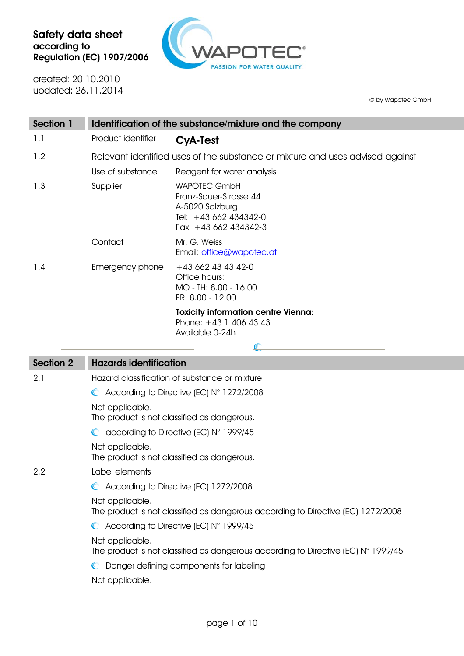

created: 20.10.2010 updated: 26.11.2014

© by Wapotec GmbH

| Section 1 | Identification of the substance/mixture and the company                       |                                                                                                                    |  |
|-----------|-------------------------------------------------------------------------------|--------------------------------------------------------------------------------------------------------------------|--|
| 1.1       | Product identifier                                                            | <b>CyA-Test</b>                                                                                                    |  |
| 1.2       | Relevant identified uses of the substance or mixture and uses advised against |                                                                                                                    |  |
|           | Use of substance                                                              | Reagent for water analysis                                                                                         |  |
| 1.3       | Supplier                                                                      | <b>WAPOTEC GmbH</b><br>Franz-Sauer-Strasse 44<br>A-5020 Salzburg<br>Tel: $+43662434342-0$<br>Fax: $+43662434342-3$ |  |
|           | Contact                                                                       | Mr. G. Weiss<br>Email: office@wapotec.at                                                                           |  |
| 1.4       | Emergency phone                                                               | $+436624343420$<br>Office hours:<br>MO - TH: 8.00 - 16.00<br>FR: 8.00 - 12.00                                      |  |
|           |                                                                               | <b>Toxicity information centre Vienna:</b><br>Phone: $+43$ 1 406 43 43<br>Available 0-24h                          |  |

| <b>Section 2</b> | <b>Hazards identification</b>                                                                                                                                               |  |  |
|------------------|-----------------------------------------------------------------------------------------------------------------------------------------------------------------------------|--|--|
| 2.1              | Hazard classification of substance or mixture                                                                                                                               |  |  |
|                  | $\bullet$ According to Directive (EC) N° 1272/2008                                                                                                                          |  |  |
|                  | Not applicable.<br>The product is not classified as dangerous.                                                                                                              |  |  |
|                  | $\bullet$ according to Directive (EC) N° 1999/45                                                                                                                            |  |  |
|                  | Not applicable.<br>The product is not classified as dangerous.                                                                                                              |  |  |
| 2.2              | Label elements                                                                                                                                                              |  |  |
|                  | C According to Directive (EC) 1272/2008                                                                                                                                     |  |  |
|                  | Not applicable.<br>The product is not classified as dangerous according to Directive (EC) 1272/2008                                                                         |  |  |
|                  | $\bullet$ According to Directive (EC) N° 1999/45                                                                                                                            |  |  |
|                  | Not applicable.<br>The product is not classified as dangerous according to Directive (EC) $N^{\circ}$ 1999/45<br>Danger defining components for labeling<br>Not applicable. |  |  |
|                  |                                                                                                                                                                             |  |  |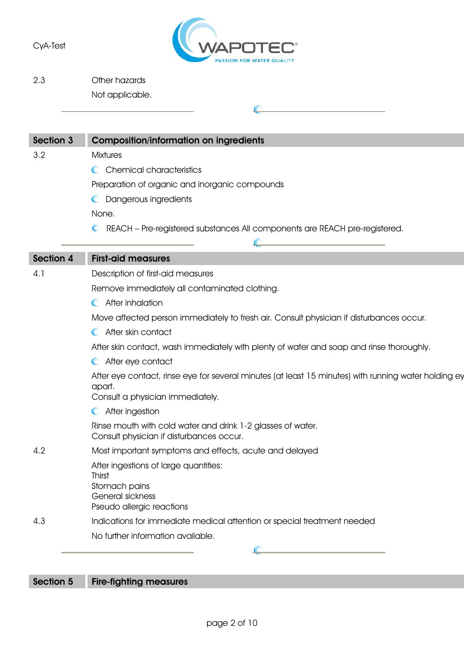

2.3 Other hazards Not applicable.

| <b>Section 3</b> | <b>Composition/information on ingredients</b>                                                                     |
|------------------|-------------------------------------------------------------------------------------------------------------------|
| 3.2              | <b>Mixtures</b>                                                                                                   |
|                  | C Chemical characteristics                                                                                        |
|                  | Preparation of organic and inorganic compounds                                                                    |
|                  | C Dangerous ingredients                                                                                           |
|                  | None.                                                                                                             |
|                  | REACH - Pre-registered substances All components are REACH pre-registered.<br>$\mathbb{C}$                        |
|                  |                                                                                                                   |
| <b>Section 4</b> | <b>First-aid measures</b>                                                                                         |
| 4.1              | Description of first-aid measures                                                                                 |
|                  | Remove immediately all contaminated clothing.                                                                     |
|                  | After inhalation<br>$\mathbb{C}$                                                                                  |
|                  | Move affected person immediately to fresh air. Consult physician if disturbances occur.                           |
|                  | After skin contact                                                                                                |
|                  | After skin contact, wash immediately with plenty of water and soap and rinse thoroughly.                          |
|                  | C After eye contact                                                                                               |
|                  | After eye contact, rinse eye for several minutes (at least 15 minutes) with running water holding ey              |
|                  | apart.                                                                                                            |
|                  | Consult a physician immediately.                                                                                  |
|                  | After ingestion<br>$\mathbb{C}$                                                                                   |
|                  | Rinse mouth with cold water and drink 1-2 glasses of water.<br>Consult physician if disturbances occur.           |
| 4.2              | Most important symptoms and effects, acute and delayed                                                            |
|                  | After ingestions of large quantities:<br>Thirst<br>Stomach pains<br>General sickness<br>Pseudo allergic reactions |
| 4.3              | Indications for immediate medical attention or special treatment needed                                           |
|                  | No further information available.                                                                                 |
|                  | <u> 1980 - Johann Barbara, martxa a</u>                                                                           |

## Section 5 Fire-fighting measures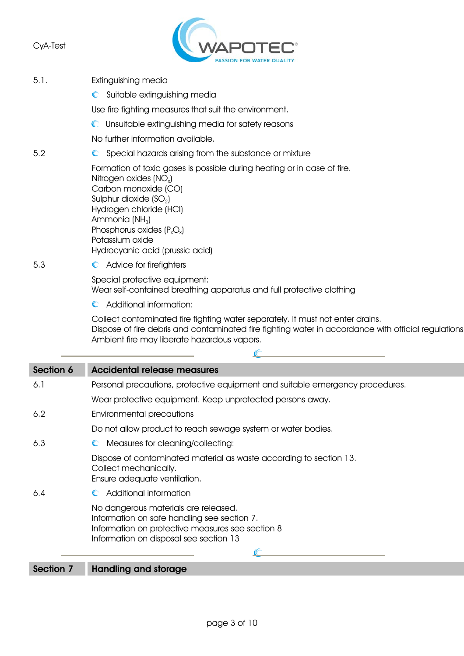

- 5.1. Extinguishing media
	- **C** Suitable extinguishing media

Use fire fighting measures that suit the environment.

Unsuitable extinguishing media for safety reasons

No further information available.

5.2 Special hazards arising from the substance or mixture

Formation of toxic gases is possible during heating or in case of fire.

Nitrogen oxides (NO<sub>x</sub>) Carbon monoxide (CO) Sulphur dioxide  $(SO<sub>2</sub>)$ Hydrogen chloride (HCI) Ammonia  $(NH_3)$ Phosphorus oxides  $(P_xO_x)$ Potassium oxide Hydrocyanic acid (prussic acid)

5.3 C Advice for firefighters

Special protective equipment: Wear self-contained breathing apparatus and full protective clothing

Additional information:

Collect contaminated fire fighting water separately. It must not enter drains. Dispose of fire debris and contaminated fire fighting water in accordance with official regulations Ambient fire may liberate hazardous vapors.

| Section 6 | <b>Accidental release measures</b>                                                                                                                                                |  |  |
|-----------|-----------------------------------------------------------------------------------------------------------------------------------------------------------------------------------|--|--|
| 6.1       | Personal precautions, protective equipment and suitable emergency procedures.                                                                                                     |  |  |
|           | Wear protective equipment. Keep unprotected persons away.                                                                                                                         |  |  |
| 6.2       | Environmental precautions                                                                                                                                                         |  |  |
|           | Do not allow product to reach sewage system or water bodies.                                                                                                                      |  |  |
| 6,3       | Measures for cleaning/collecting:                                                                                                                                                 |  |  |
|           | Dispose of contaminated material as waste according to section 13.<br>Collect mechanically.<br>Ensure adequate ventilation.                                                       |  |  |
| 6.4       | Additional information                                                                                                                                                            |  |  |
|           | No dangerous materials are released.<br>Information on safe handling see section 7.<br>Information on protective measures see section 8<br>Information on disposal see section 13 |  |  |
|           |                                                                                                                                                                                   |  |  |

Section 7 Handling and storage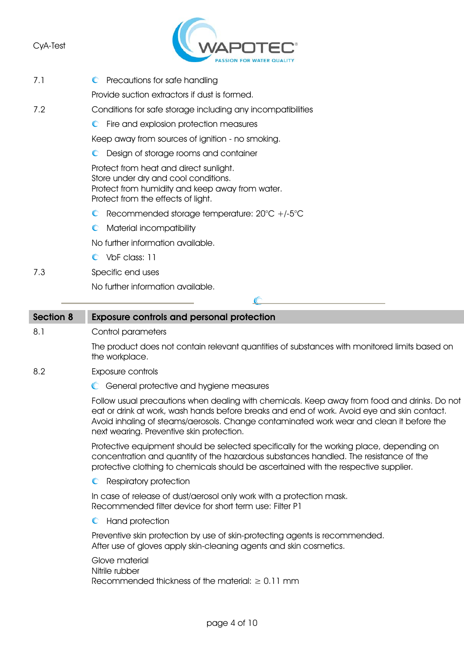

- 7.1 C Precautions for safe handling Provide suction extractors if dust is formed. 7.2 Conditions for safe storage including any incompatibilities  $\mathbb{C}$ Fire and explosion protection measures Keep away from sources of ignition - no smoking. **C** Design of storage rooms and container Protect from heat and direct sunlight. Store under dry and cool conditions. Protect from humidity and keep away from water. Protect from the effects of light. Recommended storage temperature: 20°C +/-5°C **C** Material incompatibility No further information available. C VbF class: 11 7.3 Specific end uses No further information available. Section 8 Exposure controls and personal protection
- 8.1 Control parameters

The product does not contain relevant quantities of substances with monitored limits based on the workplace.

- 8.2 Exposure controls
	- General protective and hygiene measures

Follow usual precautions when dealing with chemicals. Keep away from food and drinks. Do not eat or drink at work, wash hands before breaks and end of work. Avoid eye and skin contact. Avoid inhaling of steams/aerosols. Change contaminated work wear and clean it before the next wearing. Preventive skin protection.

Protective equipment should be selected specifically for the working place, depending on concentration and quantity of the hazardous substances handled. The resistance of the protective clothing to chemicals should be ascertained with the respective supplier.

**C** Respiratory protection

In case of release of dust/aerosol only work with a protection mask. Recommended filter device for short term use: Filter P1

**C** Hand protection

Preventive skin protection by use of skin-protecting agents is recommended. After use of gloves apply skin-cleaning agents and skin cosmetics.

Glove material Nitrile rubber Recommended thickness of the material:  $\geq 0.11$  mm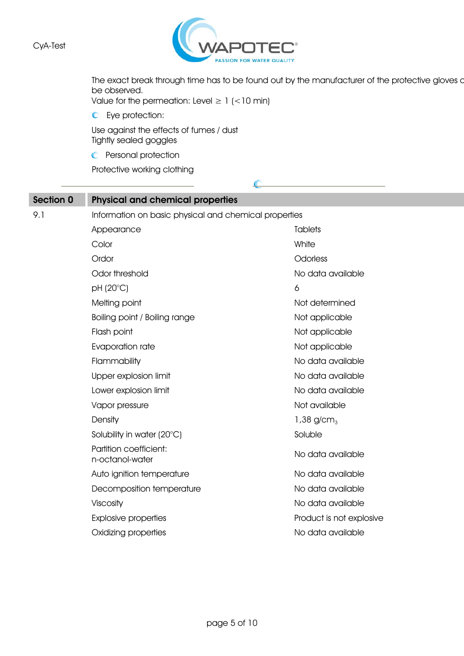

The exact break through time has to be found out by the manufacturer of the protective gloves a be observed.

 $\mathcal{C}$ 

Value for the permeation: Level  $\geq 1$  (<10 min)

 $\bullet$  Eye protection:

Use against the effects of fumes / dust Tightly sealed goggles

**C** Personal protection

Protective working clothing

| Section 0 | <b>Physical and chemical properties</b>               |                          |  |  |
|-----------|-------------------------------------------------------|--------------------------|--|--|
| 9.1       | Information on basic physical and chemical properties |                          |  |  |
|           | Appearance                                            | <b>Tablets</b>           |  |  |
|           | Color                                                 | White                    |  |  |
|           | Ordor                                                 | Odorless                 |  |  |
|           | Odor threshold                                        | No data available        |  |  |
|           | pH (20°C)                                             | 6                        |  |  |
|           | Melting point                                         | Not determined           |  |  |
|           | Boiling point / Boiling range                         | Not applicable           |  |  |
|           | Flash point                                           | Not applicable           |  |  |
|           | Evaporation rate                                      | Not applicable           |  |  |
|           | Flammability                                          | No data available        |  |  |
|           | Upper explosion limit                                 | No data available        |  |  |
|           | Lower explosion limit                                 | No data available        |  |  |
|           | Vapor pressure                                        | Not available            |  |  |
|           | Density                                               | 1,38 $g/cm3$             |  |  |
|           | Solubility in water (20°C)                            | Soluble                  |  |  |
|           | Partition coefficient:<br>n-octanol-water             | No data available        |  |  |
|           | Auto ignition temperature                             | No data available        |  |  |
|           | Decomposition temperature                             | No data available        |  |  |
|           | Viscosity                                             | No data available        |  |  |
|           | <b>Explosive properties</b>                           | Product is not explosive |  |  |
|           | Oxidizing properties                                  | No data available        |  |  |
|           |                                                       |                          |  |  |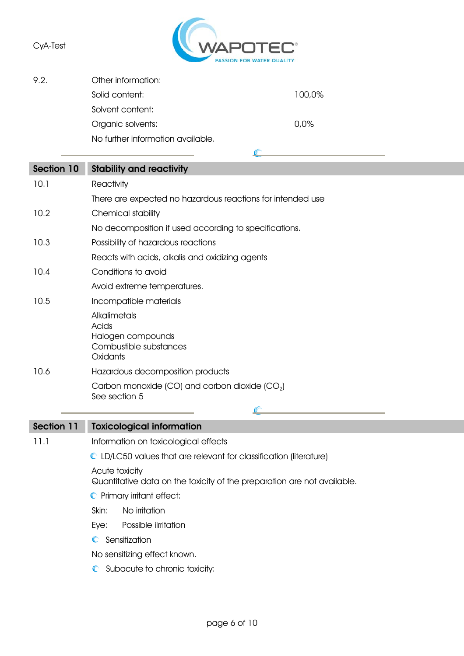

 $\mathbb{C}$ 

9.2. Other information: Solid content: 100,0% Solvent content: Organic solvents: 0,0%

No further information available.

| <b>Section 10</b> | <b>Stability and reactivity</b>                                                           |  |  |
|-------------------|-------------------------------------------------------------------------------------------|--|--|
| 10.1              | Reactivity                                                                                |  |  |
|                   | There are expected no hazardous reactions for intended use                                |  |  |
| 10.2              | Chemical stability                                                                        |  |  |
|                   | No decomposition if used according to specifications.                                     |  |  |
| 10.3              | Possibility of hazardous reactions                                                        |  |  |
|                   | Reacts with acids, alkalis and oxidizing agents                                           |  |  |
| 10.4              | Conditions to avoid                                                                       |  |  |
|                   | Avoid extreme temperatures.                                                               |  |  |
| 10.5              | Incompatible materials                                                                    |  |  |
|                   | Alkalimetals<br>Acids<br>Halogen compounds<br>Combustible substances<br>Oxidants          |  |  |
| 10.6              | Hazardous decomposition products                                                          |  |  |
|                   | Carbon monoxide (CO) and carbon dioxide $(CO2)$<br>See section 5                          |  |  |
|                   |                                                                                           |  |  |
| <b>Section 11</b> | <b>Toxicological information</b>                                                          |  |  |
| 11.1              | Information on toxicological effects                                                      |  |  |
|                   | $\bullet$ LD/LC50 values that are relevant for classification (literature)                |  |  |
|                   | Acute toxicity<br>Quantitative data on the toxicity of the preparation are not available. |  |  |
|                   | C Primary irritant effect:                                                                |  |  |
|                   | No irritation<br>Skin:                                                                    |  |  |
|                   | Eye:<br>Possible ilrritation                                                              |  |  |
|                   | Sensitization<br>$\mathbb{C}$                                                             |  |  |
|                   | No sensitizing effect known.                                                              |  |  |
|                   | C Subacute to chronic toxicity:                                                           |  |  |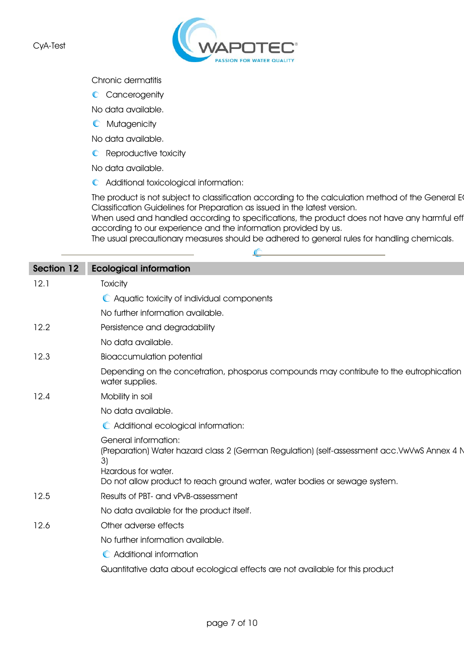

## Chronic dermatitis

C Cancerogenity

No data available.

**C** Mutagenicity

No data available.

**C** Reproductive toxicity

No data available.

Additional toxicological information:

The product is not subject to classification according to the calculation method of the General E Classification Guidelines for Preparation as issued in the latest version.

When used and handled according to specifications, the product does not have any harmful eff according to our experience and the information provided by us.

The usual precautionary measures should be adhered to general rules for handling chemicals.

 $\mathbb{C}$ 

| <b>Section 12</b> | <b>Ecological information</b>                                                                                                                                                                                                          |
|-------------------|----------------------------------------------------------------------------------------------------------------------------------------------------------------------------------------------------------------------------------------|
| 12.1              | <b>Toxicity</b>                                                                                                                                                                                                                        |
|                   | • Aquatic toxicity of individual components                                                                                                                                                                                            |
|                   | No further information available.                                                                                                                                                                                                      |
| 12.2              | Persistence and degradability                                                                                                                                                                                                          |
|                   | No data available.                                                                                                                                                                                                                     |
| 12.3              | <b>Bioaccumulation potential</b>                                                                                                                                                                                                       |
|                   | Depending on the concetration, phosporus compounds may contribute to the eutrophication<br>water supplies.                                                                                                                             |
| 12.4              | Mobility in soil                                                                                                                                                                                                                       |
|                   | No data available.                                                                                                                                                                                                                     |
|                   | C Additional ecological information:                                                                                                                                                                                                   |
|                   | <b>General information:</b><br>(Preparation) Water hazard class 2 (German Regulation) (self-assessment acc. VwVwS Annex 4 N<br>3)<br>Hzardous for water.<br>Do not allow product to reach ground water, water bodies or sewage system. |
| 12.5              | Results of PBT- and vPvB-assessment                                                                                                                                                                                                    |
|                   | No data available for the product itself.                                                                                                                                                                                              |
| 12.6              | Other adverse effects                                                                                                                                                                                                                  |
|                   | No further information available.                                                                                                                                                                                                      |
|                   | C Additional information                                                                                                                                                                                                               |
|                   | Quantitative data about ecological effects are not available for this product                                                                                                                                                          |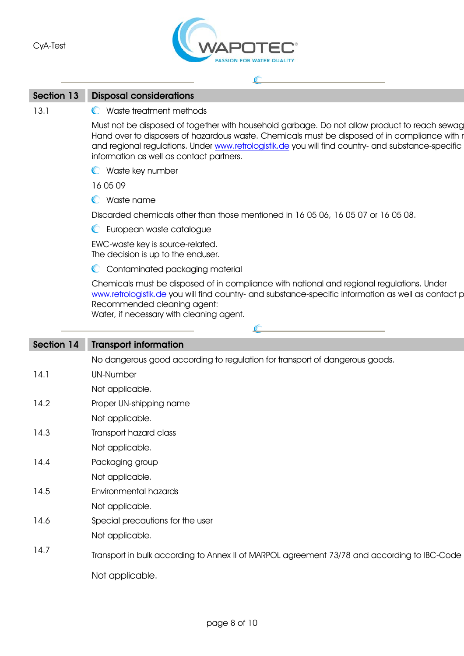

## Section 13 Disposal considerations

13.1 C Waste treatment methods

Must not be disposed of together with household garbage. Do not allow product to reach sewag Hand over to disposers of hazardous waste. Chemicals must be disposed of in compliance with r and regional regulations. Under www.retrologistik.de you will find country- and substance-specific information as well as contact partners.

**C** Waste key number

16 05 09

Waste name

Discarded chemicals other than those mentioned in 16 05 06, 16 05 07 or 16 05 08.

 $\mathcal{C}$ 

**C** European waste catalogue

EWC-waste key is source-related. The decision is up to the enduser.

C Contaminated packaging material

Chemicals must be disposed of in compliance with national and regional regulations. Under www.retrologistik.de you will find country- and substance-specific information as well as contact p Recommended cleaning agent:

Water, if necessary with cleaning agent.

| Section 14 | <b>Transport information</b>                                                                |  |  |
|------------|---------------------------------------------------------------------------------------------|--|--|
|            | No dangerous good according to regulation for transport of dangerous goods.                 |  |  |
| 14.1       | <b>UN-Number</b>                                                                            |  |  |
|            | Not applicable.                                                                             |  |  |
| 14.2       | Proper UN-shipping name                                                                     |  |  |
|            | Not applicable.                                                                             |  |  |
| 14.3       | Transport hazard class                                                                      |  |  |
|            | Not applicable.                                                                             |  |  |
| 14.4       | Packaging group                                                                             |  |  |
|            | Not applicable.                                                                             |  |  |
| 14.5       | Environmental hazards                                                                       |  |  |
|            | Not applicable.                                                                             |  |  |
| 14.6       | Special precautions for the user                                                            |  |  |
|            | Not applicable.                                                                             |  |  |
| 14.7       | Transport in bulk according to Annex II of MARPOL agreement 73/78 and according to IBC-Code |  |  |
|            | Not applicable.                                                                             |  |  |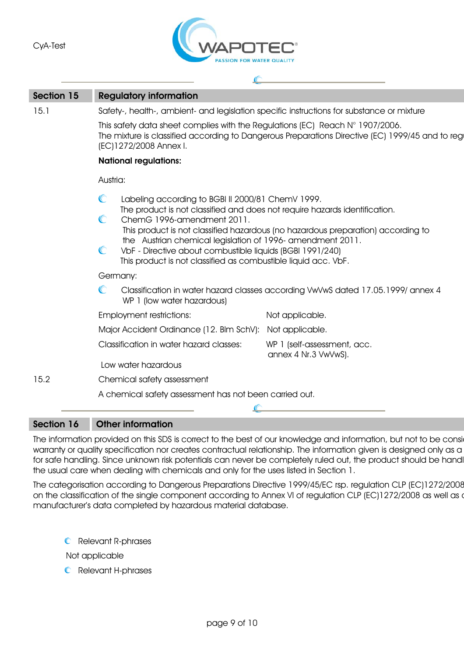

 $\sqrt{C}$ 

| Section 15 | <b>Regulatory information</b>                          |                                                                                                                                                                                                                                                                                                                                                                                                                                               |                                                                                 |  |  |
|------------|--------------------------------------------------------|-----------------------------------------------------------------------------------------------------------------------------------------------------------------------------------------------------------------------------------------------------------------------------------------------------------------------------------------------------------------------------------------------------------------------------------------------|---------------------------------------------------------------------------------|--|--|
| 15.1       |                                                        | Safety-, health-, ambient- and legislation specific instructions for substance or mixture                                                                                                                                                                                                                                                                                                                                                     |                                                                                 |  |  |
|            |                                                        | This safety data sheet complies with the Regulations (EC) Reach N° 1907/2006.<br>The mixture is classified according to Dangerous Preparations Directive (EC) 1999/45 and to regi<br>(EC)1272/2008 Annex I.                                                                                                                                                                                                                                   |                                                                                 |  |  |
|            |                                                        | <b>National regulations:</b>                                                                                                                                                                                                                                                                                                                                                                                                                  |                                                                                 |  |  |
|            | Austria:                                               |                                                                                                                                                                                                                                                                                                                                                                                                                                               |                                                                                 |  |  |
|            | C<br>C<br>$\mathbb{C}$                                 | Labeling according to BGBI II 2000/81 ChemV 1999.<br>The product is not classified and does not require hazards identification.<br>ChemG 1996-amendment 2011.<br>This product is not classified hazardous (no hazardous preparation) according to<br>the Austrian chemical legislation of 1996-amendment 2011.<br>VbF - Directive about combustible liquids (BGBI 1991/240)<br>This product is not classified as combustible liquid acc. VbF. |                                                                                 |  |  |
|            |                                                        | Germany:                                                                                                                                                                                                                                                                                                                                                                                                                                      |                                                                                 |  |  |
|            | C                                                      | WP 1 (low water hazardous)                                                                                                                                                                                                                                                                                                                                                                                                                    | Classification in water hazard classes according VwVwS dated 17.05.1999/annex 4 |  |  |
|            |                                                        | <b>Employment restrictions:</b>                                                                                                                                                                                                                                                                                                                                                                                                               | Not applicable.                                                                 |  |  |
|            |                                                        | Major Accident Ordinance (12. Blm SchV): Not applicable.                                                                                                                                                                                                                                                                                                                                                                                      |                                                                                 |  |  |
|            |                                                        | Classification in water hazard classes:                                                                                                                                                                                                                                                                                                                                                                                                       | WP 1 (self-assessment, acc.<br>annex 4 Nr.3 VwVwS).                             |  |  |
|            |                                                        | Low water hazardous                                                                                                                                                                                                                                                                                                                                                                                                                           |                                                                                 |  |  |
| 15.2       | Chemical safety assessment                             |                                                                                                                                                                                                                                                                                                                                                                                                                                               |                                                                                 |  |  |
|            | A chemical safety assessment has not been carried out. |                                                                                                                                                                                                                                                                                                                                                                                                                                               |                                                                                 |  |  |
|            |                                                        |                                                                                                                                                                                                                                                                                                                                                                                                                                               |                                                                                 |  |  |

## Section 16 Other information

The information provided on this SDS is correct to the best of our knowledge and information, but not to be consi warranty or quality specification nor creates contractual relationship. The information given is designed only as a for safe handling. Since unknown risk potentials can never be completely ruled out, the product should be handl the usual care when dealing with chemicals and only for the uses listed in Section 1.

The categorisation according to Dangerous Preparations Directive 1999/45/EC rsp. regulation CLP (EC)1272/2008 on the classification of the single component according to Annex VI of regulation CLP (EC)1272/2008 as well as o manufacturer's data completed by hazardous material database.

**C** Relevant R-phrases

Not applicable

**C** Relevant H-phrases